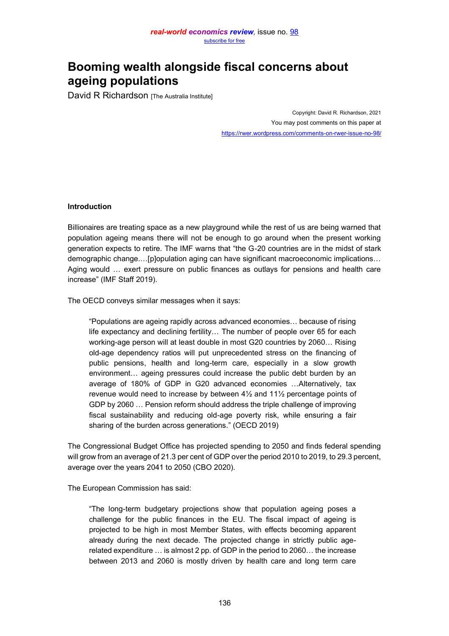# **Booming wealth alongside fiscal concerns about ageing populations**

David R Richardson [The Australia Institute]

Copyright: David R. Richardson, 2021 You may post comments on this paper at <https://rwer.wordpress.com/comments-on-rwer-issue-no-98/>

## **Introduction**

Billionaires are treating space as a new playground while the rest of us are being warned that population ageing means there will not be enough to go around when the present working generation expects to retire. The IMF warns that "the G-20 countries are in the midst of stark demographic change....[p]opulation aging can have significant macroeconomic implications... Aging would ... exert pressure on public finances as outlays for pensions and health care increase" (IMF Staff 2019).

The OECD conveys similar messages when it says:

"Populations are ageing rapidly across advanced economies... because of rising life expectancy and declining fertility... The number of people over 65 for each working-age person will at least double in most G20 countries by 2060... Rising old-age dependency ratios will put unprecedented stress on the financing of public pensions, health and long-term care, especially in a slow growth environment... ageing pressures could increase the public debt burden by an average of 180% of GDP in G20 advanced economies ... Alternatively, tax revenue would need to increase by between 4½ and 11½ percentage points of GDP by 2060 ... Pension reform should address the triple challenge of improving fiscal sustainability and reducing old-age poverty risk, while ensuring a fair sharing of the burden across generations." (OECD 2019)

The Congressional Budget Office has projected spending to 2050 and finds federal spending will grow from an average of 21.3 per cent of GDP over the period 2010 to 2019, to 29.3 percent, average over the years 2041 to 2050 (CBO 2020).

The European Commission has said:

³The long-term budgetary projections show that population ageing poses a challenge for the public finances in the EU. The fiscal impact of ageing is projected to be high in most Member States, with effects becoming apparent already during the next decade. The projected change in strictly public agerelated expenditure  $\ldots$  is almost 2 pp. of GDP in the period to 2060 $\ldots$  the increase between 2013 and 2060 is mostly driven by health care and long term care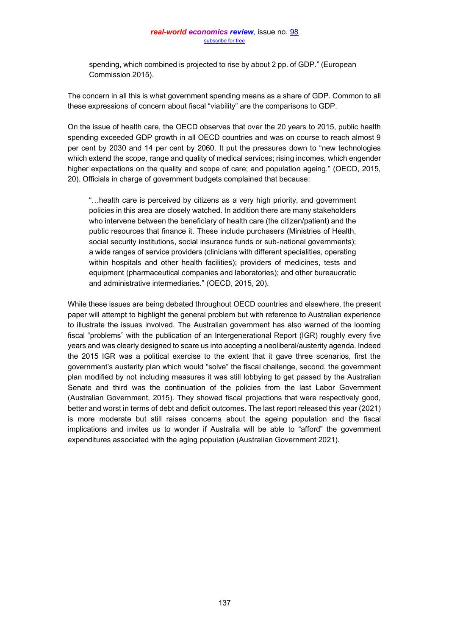spending, which combined is projected to rise by about 2 pp. of GDP," (European Commission 2015).

The concern in all this is what government spending means as a share of GDP. Common to all these expressions of concern about fiscal "viability" are the comparisons to GDP.

On the issue of health care, the OECD observes that over the 20 years to 2015, public health spending exceeded GDP growth in all OECD countries and was on course to reach almost 9 per cent by 2030 and 14 per cent by 2060. It put the pressures down to "new technologies which extend the scope, range and quality of medical services; rising incomes, which engender higher expectations on the quality and scope of care; and population ageing." (OECD, 2015, 20). Officials in charge of government budgets complained that because:

"...health care is perceived by citizens as a very high priority, and government policies in this area are closely watched. In addition there are many stakeholders who intervene between the beneficiary of health care (the citizen/patient) and the public resources that finance it. These include purchasers (Ministries of Health, social security institutions, social insurance funds or sub-national governments); a wide ranges of service providers (clinicians with different specialities, operating within hospitals and other health facilities); providers of medicines, tests and equipment (pharmaceutical companies and laboratories); and other bureaucratic and administrative intermediaries." (OECD, 2015, 20).

While these issues are being debated throughout OECD countries and elsewhere, the present paper will attempt to highlight the general problem but with reference to Australian experience to illustrate the issues involved. The Australian government has also warned of the looming fiscal "problems" with the publication of an Intergenerational Report (IGR) roughly every five years and was clearly designed to scare us into accepting a neoliberal/austerity agenda. Indeed the 2015 IGR was a political exercise to the extent that it gave three scenarios, first the government's austerity plan which would "solve" the fiscal challenge, second, the government plan modified by not including measures it was still lobbying to get passed by the Australian Senate and third was the continuation of the policies from the last Labor Government (Australian Government, 2015). They showed fiscal projections that were respectively good, better and worst in terms of debt and deficit outcomes. The last report released this year (2021) is more moderate but still raises concerns about the ageing population and the fiscal implications and invites us to wonder if Australia will be able to "afford" the government expenditures associated with the aging population (Australian Government 2021).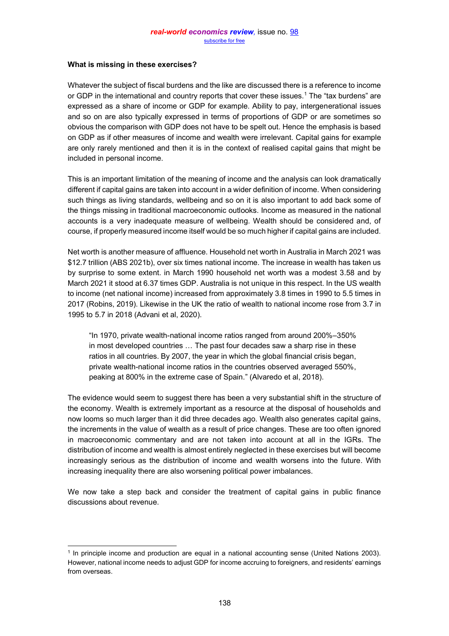## **What is missing in these exercises?**

Whatever the subject of fiscal burdens and the like are discussed there is a reference to income or GDP in the international and country reports that cover these issues.<sup>1</sup> The "tax burdens" are expressed as a share of income or GDP for example. Ability to pay, intergenerational issues and so on are also typically expressed in terms of proportions of GDP or are sometimes so obvious the comparison with GDP does not have to be spelt out. Hence the emphasis is based on GDP as if other measures of income and wealth were irrelevant. Capital gains for example are only rarely mentioned and then it is in the context of realised capital gains that might be included in personal income.

This is an important limitation of the meaning of income and the analysis can look dramatically different if capital gains are taken into account in a wider definition of income. When considering such things as living standards, wellbeing and so on it is also important to add back some of the things missing in traditional macroeconomic outlooks. Income as measured in the national accounts is a very inadequate measure of wellbeing. Wealth should be considered and, of course, if properly measured income itself would be so much higher if capital gains are included.

Net worth is another measure of affluence. Household net worth in Australia in March 2021 was \$12.7 trillion (ABS 2021b), over six times national income. The increase in wealth has taken us by surprise to some extent. in March 1990 household net worth was a modest 3.58 and by March 2021 it stood at 6.37 times GDP. Australia is not unique in this respect. In the US wealth to income (net national income) increased from approximately 3.8 times in 1990 to 5.5 times in 2017 (Robins, 2019). Likewise in the UK the ratio of wealth to national income rose from 3.7 in 1995 to 5.7 in 2018 (Advani et al, 2020).

"In 1970, private wealth-national income ratios ranged from around 200%-350% in most developed countries ... The past four decades saw a sharp rise in these ratios in all countries. By 2007, the year in which the global financial crisis began, private wealth-national income ratios in the countries observed averaged 550%, peaking at 800% in the extreme case of Spain." (Alvaredo et al, 2018).

The evidence would seem to suggest there has been a very substantial shift in the structure of the economy. Wealth is extremely important as a resource at the disposal of households and now looms so much larger than it did three decades ago. Wealth also generates capital gains, the increments in the value of wealth as a result of price changes. These are too often ignored in macroeconomic commentary and are not taken into account at all in the IGRs. The distribution of income and wealth is almost entirely neglected in these exercises but will become increasingly serious as the distribution of income and wealth worsens into the future. With increasing inequality there are also worsening political power imbalances.

We now take a step back and consider the treatment of capital gains in public finance discussions about revenue.

<sup>1</sup> In principle income and production are equal in a national accounting sense (United Nations 2003). However, national income needs to adjust GDP for income accruing to foreigners, and residents' earnings from overseas.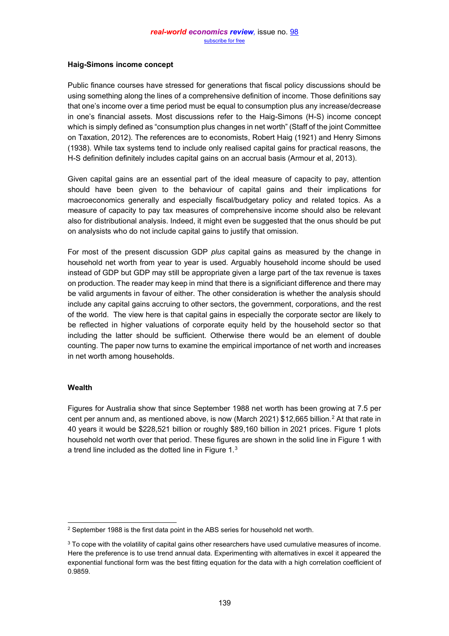# **Haig-Simons income concept**

Public finance courses have stressed for generations that fiscal policy discussions should be using something along the lines of a comprehensive definition of income. Those definitions say that one's income over a time period must be equal to consumption plus any increase/decrease in one's financial assets. Most discussions refer to the Haig-Simons  $(H-S)$  income concept which is simply defined as "consumption plus changes in net worth" (Staff of the joint Committee on Taxation, 2012). The references are to economists, Robert Haig (1921) and Henry Simons (1938). While tax systems tend to include only realised capital gains for practical reasons, the H-S definition definitely includes capital gains on an accrual basis (Armour et al, 2013).

Given capital gains are an essential part of the ideal measure of capacity to pay, attention should have been given to the behaviour of capital gains and their implications for macroeconomics generally and especially fiscal/budgetary policy and related topics. As a measure of capacity to pay tax measures of comprehensive income should also be relevant also for distributional analysis. Indeed, it might even be suggested that the onus should be put on analysists who do not include capital gains to justify that omission.

For most of the present discussion GDP *plus* capital gains as measured by the change in household net worth from year to year is used. Arguably household income should be used instead of GDP but GDP may still be appropriate given a large part of the tax revenue is taxes on production. The reader may keep in mind that there is a significiant difference and there may be valid arguments in favour of either. The other consideration is whether the analysis should include any capital gains accruing to other sectors, the government, corporations, and the rest of the world. The view here is that capital gains in especially the corporate sector are likely to be reflected in higher valuations of corporate equity held by the household sector so that including the latter should be sufficient. Otherwise there would be an element of double counting. The paper now turns to examine the empirical importance of net worth and increases in net worth among households.

## **Wealth**

Figures for Australia show that since September 1988 net worth has been growing at 7.5 per cent per annum and, as mentioned above, is now (March 2021) \$12,665 billion.<sup>2</sup> At that rate in 40 years it would be \$228,521 billion or roughly \$89,160 billion in 2021 prices. Figure 1 plots household net worth over that period. These figures are shown in the solid line in Figure 1 with a trend line included as the dotted line in Figure 1.3

<sup>&</sup>lt;sup>2</sup> September 1988 is the first data point in the ABS series for household net worth.

<sup>&</sup>lt;sup>3</sup> To cope with the volatility of capital gains other researchers have used cumulative measures of income. Here the preference is to use trend annual data. Experimenting with alternatives in excel it appeared the exponential functional form was the best fitting equation for the data with a high correlation coefficient of 0.9859.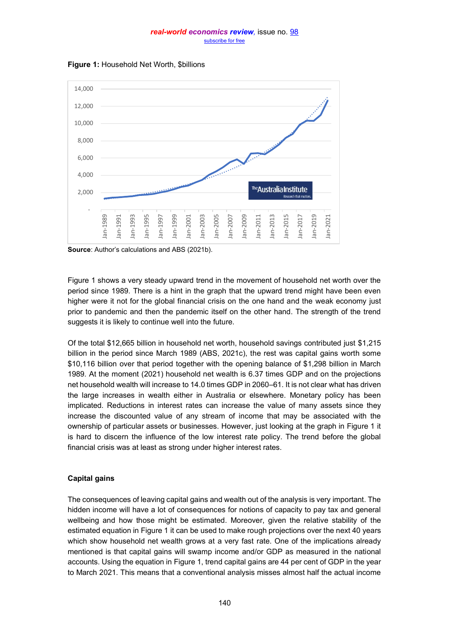

**Figure 1:** Household Net Worth, \$billions

**Source:** Author's calculations and ABS (2021b).

Figure 1 shows a very steady upward trend in the movement of household net worth over the period since 1989. There is a hint in the graph that the upward trend might have been even higher were it not for the global financial crisis on the one hand and the weak economy just prior to pandemic and then the pandemic itself on the other hand. The strength of the trend suggests it is likely to continue well into the future.

Of the total \$12,665 billion in household net worth, household savings contributed just \$1,215 billion in the period since March 1989 (ABS, 2021c), the rest was capital gains worth some \$10,116 billion over that period together with the opening balance of \$1,298 billion in March 1989. At the moment (2021) household net wealth is 6.37 times GDP and on the projections net household wealth will increase to 14.0 times GDP in 2060-61. It is not clear what has driven the large increases in wealth either in Australia or elsewhere. Monetary policy has been implicated. Reductions in interest rates can increase the value of many assets since they increase the discounted value of any stream of income that may be associated with the ownership of particular assets or businesses. However, just looking at the graph in Figure 1 it is hard to discern the influence of the low interest rate policy. The trend before the global financial crisis was at least as strong under higher interest rates.

# **Capital gains**

The consequences of leaving capital gains and wealth out of the analysis is very important. The hidden income will have a lot of consequences for notions of capacity to pay tax and general wellbeing and how those might be estimated. Moreover, given the relative stability of the estimated equation in Figure 1 it can be used to make rough projections over the next 40 years which show household net wealth grows at a very fast rate. One of the implications already mentioned is that capital gains will swamp income and/or GDP as measured in the national accounts. Using the equation in Figure 1, trend capital gains are 44 per cent of GDP in the year to March 2021. This means that a conventional analysis misses almost half the actual income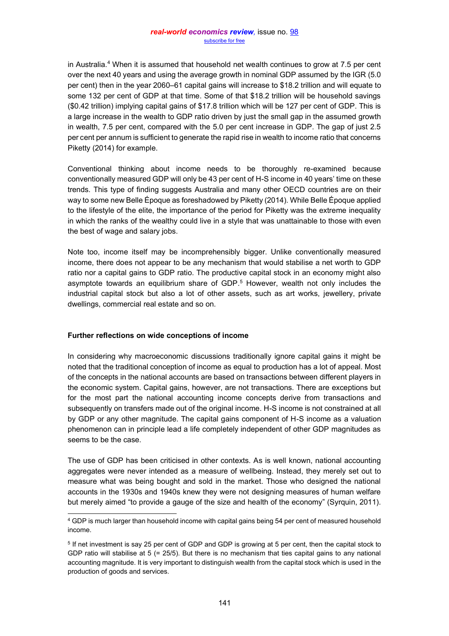in Australia.<sup>4</sup> When it is assumed that household net wealth continues to grow at 7.5 per cent over the next 40 years and using the average growth in nominal GDP assumed by the IGR (5.0 per cent) then in the year 2060-61 capital gains will increase to \$18.2 trillion and will equate to some 132 per cent of GDP at that time. Some of that \$18.2 trillion will be household savings (\$0.42 trillion) implying capital gains of \$17.8 trillion which will be 127 per cent of GDP. This is a large increase in the wealth to GDP ratio driven by just the small gap in the assumed growth in wealth, 7.5 per cent, compared with the 5.0 per cent increase in GDP. The gap of just 2.5 per cent per annum is sufficient to generate the rapid rise in wealth to income ratio that concerns Piketty (2014) for example.

Conventional thinking about income needs to be thoroughly re-examined because conventionally measured GDP will only be 43 per cent of H-S income in 40 years' time on these trends. This type of finding suggests Australia and many other OECD countries are on their way to some new Belle Époque as foreshadowed by Piketty (2014). While Belle Époque applied to the lifestyle of the elite, the importance of the period for Piketty was the extreme inequality in which the ranks of the wealthy could live in a style that was unattainable to those with even the best of wage and salary jobs.

Note too, income itself may be incomprehensibly bigger. Unlike conventionally measured income, there does not appear to be any mechanism that would stabilise a net worth to GDP ratio nor a capital gains to GDP ratio. The productive capital stock in an economy might also asymptote towards an equilibrium share of GDP.<sup>5</sup> However, wealth not only includes the industrial capital stock but also a lot of other assets, such as art works, jewellery, private dwellings, commercial real estate and so on.

# **Further reflections on wide conceptions of income**

In considering why macroeconomic discussions traditionally ignore capital gains it might be noted that the traditional conception of income as equal to production has a lot of appeal. Most of the concepts in the national accounts are based on transactions between different players in the economic system. Capital gains, however, are not transactions. There are exceptions but for the most part the national accounting income concepts derive from transactions and subsequently on transfers made out of the original income. H-S income is not constrained at all by GDP or any other magnitude. The capital gains component of H-S income as a valuation phenomenon can in principle lead a life completely independent of other GDP magnitudes as seems to be the case.

The use of GDP has been criticised in other contexts. As is well known, national accounting aggregates were never intended as a measure of wellbeing. Instead, they merely set out to measure what was being bought and sold in the market. Those who designed the national accounts in the 1930s and 1940s knew they were not designing measures of human welfare but merely aimed "to provide a gauge of the size and health of the economy" (Syrquin, 2011).

<sup>4</sup> GDP is much larger than household income with capital gains being 54 per cent of measured household income.

<sup>5</sup> If net investment is say 25 per cent of GDP and GDP is growing at 5 per cent, then the capital stock to GDP ratio will stabilise at 5 (= 25/5). But there is no mechanism that ties capital gains to any national accounting magnitude. It is very important to distinguish wealth from the capital stock which is used in the production of goods and services.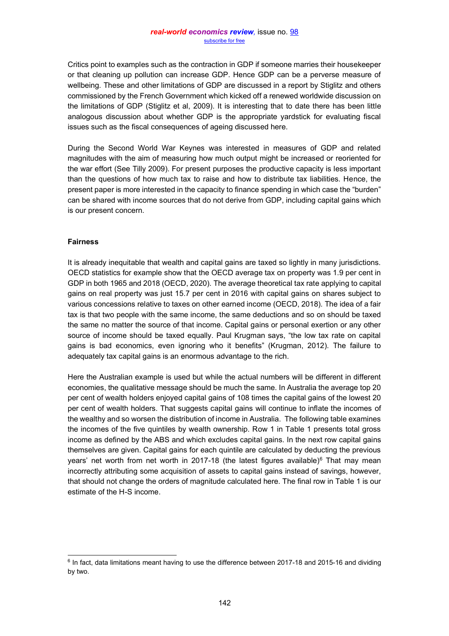Critics point to examples such as the contraction in GDP if someone marries their housekeeper or that cleaning up pollution can increase GDP. Hence GDP can be a perverse measure of wellbeing. These and other limitations of GDP are discussed in a report by Stiglitz and others commissioned by the French Government which kicked off a renewed worldwide discussion on the limitations of GDP (Stiglitz et al, 2009). It is interesting that to date there has been little analogous discussion about whether GDP is the appropriate yardstick for evaluating fiscal issues such as the fiscal consequences of ageing discussed here.

During the Second World War Keynes was interested in measures of GDP and related magnitudes with the aim of measuring how much output might be increased or reoriented for the war effort (See Tilly 2009). For present purposes the productive capacity is less important than the questions of how much tax to raise and how to distribute tax liabilities. Hence, the present paper is more interested in the capacity to finance spending in which case the "burden" can be shared with income sources that do not derive from GDP, including capital gains which is our present concern.

## **Fairness**

It is already inequitable that wealth and capital gains are taxed so lightly in many jurisdictions. OECD statistics for example show that the OECD average tax on property was 1.9 per cent in GDP in both 1965 and 2018 (OECD, 2020). The average theoretical tax rate applying to capital gains on real property was just 15.7 per cent in 2016 with capital gains on shares subject to various concessions relative to taxes on other earned income (OECD, 2018). The idea of a fair tax is that two people with the same income, the same deductions and so on should be taxed the same no matter the source of that income. Capital gains or personal exertion or any other source of income should be taxed equally. Paul Krugman says, "the low tax rate on capital gains is bad economics, even ignoring who it benefits" (Krugman, 2012). The failure to adequately tax capital gains is an enormous advantage to the rich.

Here the Australian example is used but while the actual numbers will be different in different economies, the qualitative message should be much the same. In Australia the average top 20 per cent of wealth holders enjoyed capital gains of 108 times the capital gains of the lowest 20 per cent of wealth holders. That suggests capital gains will continue to inflate the incomes of the wealthy and so worsen the distribution of income in Australia. The following table examines the incomes of the five quintiles by wealth ownership. Row 1 in Table 1 presents total gross income as defined by the ABS and which excludes capital gains. In the next row capital gains themselves are given. Capital gains for each quintile are calculated by deducting the previous vears' net worth from net worth in 2017-18 (the latest figures available)<sup>6</sup> That may mean incorrectly attributing some acquisition of assets to capital gains instead of savings, however, that should not change the orders of magnitude calculated here. The final row in Table 1 is our estimate of the H-S income.

 $6$  In fact, data limitations meant having to use the difference between 2017-18 and 2015-16 and dividing by two.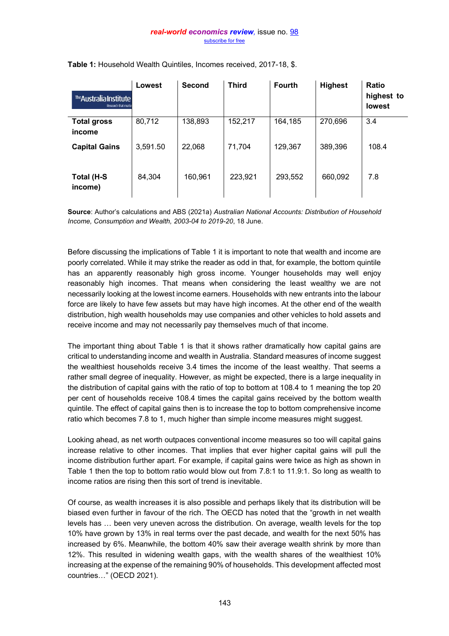| The Australia Institute<br>Research that matte | Lowest   | <b>Second</b> | <b>Third</b> | <b>Fourth</b> | <b>Highest</b> | Ratio<br>highest to<br><b>lowest</b> |
|------------------------------------------------|----------|---------------|--------------|---------------|----------------|--------------------------------------|
| <b>Total gross</b><br>income                   | 80,712   | 138,893       | 152,217      | 164,185       | 270,696        | 3.4                                  |
| <b>Capital Gains</b>                           | 3,591.50 | 22,068        | 71,704       | 129,367       | 389,396        | 108.4                                |
| Total (H-S<br>income)                          | 84,304   | 160,961       | 223,921      | 293,552       | 660,092        | 7.8                                  |

**Table 1:** Household Wealth Quintiles, Incomes received, 2017-18, \$.

**Source:** Author's calculations and ABS (2021a) *Australian National Accounts: Distribution of Household Income, Consumption and Wealth, 2003-04 to 2019-20*, 18 June.

Before discussing the implications of Table 1 it is important to note that wealth and income are poorly correlated. While it may strike the reader as odd in that, for example, the bottom quintile has an apparently reasonably high gross income. Younger households may well enjoy reasonably high incomes. That means when considering the least wealthy we are not necessarily looking at the lowest income earners. Households with new entrants into the labour force are likely to have few assets but may have high incomes. At the other end of the wealth distribution, high wealth households may use companies and other vehicles to hold assets and receive income and may not necessarily pay themselves much of that income.

The important thing about Table 1 is that it shows rather dramatically how capital gains are critical to understanding income and wealth in Australia. Standard measures of income suggest the wealthiest households receive 3.4 times the income of the least wealthy. That seems a rather small degree of inequality. However, as might be expected, there is a large inequality in the distribution of capital gains with the ratio of top to bottom at 108.4 to 1 meaning the top 20 per cent of households receive 108.4 times the capital gains received by the bottom wealth quintile. The effect of capital gains then is to increase the top to bottom comprehensive income ratio which becomes 7.8 to 1, much higher than simple income measures might suggest.

Looking ahead, as net worth outpaces conventional income measures so too will capital gains increase relative to other incomes. That implies that ever higher capital gains will pull the income distribution further apart. For example, if capital gains were twice as high as shown in Table 1 then the top to bottom ratio would blow out from 7.8:1 to 11.9:1. So long as wealth to income ratios are rising then this sort of trend is inevitable.

Of course, as wealth increases it is also possible and perhaps likely that its distribution will be biased even further in favour of the rich. The OECD has noted that the "growth in net wealth levels has ... been very uneven across the distribution. On average, wealth levels for the top 10% have grown by 13% in real terms over the past decade, and wealth for the next 50% has increased by 6%. Meanwhile, the bottom 40% saw their average wealth shrink by more than 12%. This resulted in widening wealth gaps, with the wealth shares of the wealthiest 10% increasing at the expense of the remaining 90% of households. This development affected most countries..." (OECD 2021).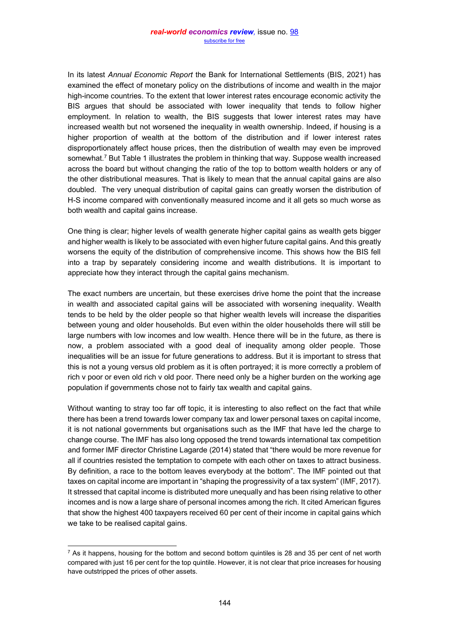In its latest *Annual Economic Report* the Bank for International Settlements (BIS, 2021) has examined the effect of monetary policy on the distributions of income and wealth in the major high-income countries. To the extent that lower interest rates encourage economic activity the BIS argues that should be associated with lower inequality that tends to follow higher employment. In relation to wealth, the BIS suggests that lower interest rates may have increased wealth but not worsened the inequality in wealth ownership. Indeed, if housing is a higher proportion of wealth at the bottom of the distribution and if lower interest rates disproportionately affect house prices, then the distribution of wealth may even be improved somewhat.<sup>7</sup> But Table 1 illustrates the problem in thinking that way. Suppose wealth increased across the board but without changing the ratio of the top to bottom wealth holders or any of the other distributional measures. That is likely to mean that the annual capital gains are also doubled. The very unequal distribution of capital gains can greatly worsen the distribution of H-S income compared with conventionally measured income and it all gets so much worse as both wealth and capital gains increase.

One thing is clear; higher levels of wealth generate higher capital gains as wealth gets bigger and higher wealth is likely to be associated with even higher future capital gains. And this greatly worsens the equity of the distribution of comprehensive income. This shows how the BIS fell into a trap by separately considering income and wealth distributions. It is important to appreciate how they interact through the capital gains mechanism.

The exact numbers are uncertain, but these exercises drive home the point that the increase in wealth and associated capital gains will be associated with worsening inequality. Wealth tends to be held by the older people so that higher wealth levels will increase the disparities between young and older households. But even within the older households there will still be large numbers with low incomes and low wealth. Hence there will be in the future, as there is now, a problem associated with a good deal of inequality among older people. Those inequalities will be an issue for future generations to address. But it is important to stress that this is not a young versus old problem as it is often portrayed; it is more correctly a problem of rich v poor or even old rich v old poor. There need only be a higher burden on the working age population if governments chose not to fairly tax wealth and capital gains.

Without wanting to stray too far off topic, it is interesting to also reflect on the fact that while there has been a trend towards lower company tax and lower personal taxes on capital income, it is not national governments but organisations such as the IMF that have led the charge to change course. The IMF has also long opposed the trend towards international tax competition and former IMF director Christine Lagarde (2014) stated that "there would be more revenue for all if countries resisted the temptation to compete with each other on taxes to attract business. By definition, a race to the bottom leaves everybody at the bottom". The IMF pointed out that taxes on capital income are important in "shaping the progressivity of a tax system" (IMF, 2017). It stressed that capital income is distributed more unequally and has been rising relative to other incomes and is now a large share of personal incomes among the rich. It cited American figures that show the highest 400 taxpayers received 60 per cent of their income in capital gains which we take to be realised capital gains.

 $<sup>7</sup>$  As it happens, housing for the bottom and second bottom quintiles is 28 and 35 per cent of net worth</sup> compared with just 16 per cent for the top quintile. However, it is not clear that price increases for housing have outstripped the prices of other assets.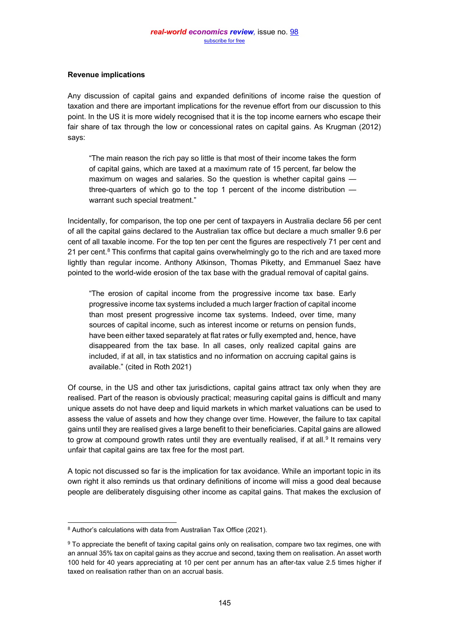# **Revenue implications**

Any discussion of capital gains and expanded definitions of income raise the question of taxation and there are important implications for the revenue effort from our discussion to this point. In the US it is more widely recognised that it is the top income earners who escape their fair share of tax through the low or concessional rates on capital gains. As Krugman (2012) says:

³The main reason the rich pay so little is that most of their income takes the form of capital gains, which are taxed at a maximum rate of 15 percent, far below the maximum on wages and salaries. So the question is whether capital gains  $$ three-quarters of which go to the top 1 percent of the income distribution  $$ warrant such special treatment."

Incidentally, for comparison, the top one per cent of taxpayers in Australia declare 56 per cent of all the capital gains declared to the Australian tax office but declare a much smaller 9.6 per cent of all taxable income. For the top ten per cent the figures are respectively 71 per cent and 21 per cent. $8$  This confirms that capital gains overwhelmingly go to the rich and are taxed more lightly than regular income. Anthony Atkinson, Thomas Piketty, and Emmanuel Saez have pointed to the world-wide erosion of the tax base with the gradual removal of capital gains.

³The erosion of capital income from the progressive income tax base. Early progressive income tax systems included a much larger fraction of capital income than most present progressive income tax systems. Indeed, over time, many sources of capital income, such as interest income or returns on pension funds, have been either taxed separately at flat rates or fully exempted and, hence, have disappeared from the tax base. In all cases, only realized capital gains are included, if at all, in tax statistics and no information on accruing capital gains is available." (cited in Roth 2021)

Of course, in the US and other tax jurisdictions, capital gains attract tax only when they are realised. Part of the reason is obviously practical; measuring capital gains is difficult and many unique assets do not have deep and liquid markets in which market valuations can be used to assess the value of assets and how they change over time. However, the failure to tax capital gains until they are realised gives a large benefit to their beneficiaries. Capital gains are allowed to grow at compound growth rates until they are eventually realised, if at all.<sup>9</sup> It remains very unfair that capital gains are tax free for the most part.

A topic not discussed so far is the implication for tax avoidance. While an important topic in its own right it also reminds us that ordinary definitions of income will miss a good deal because people are deliberately disguising other income as capital gains. That makes the exclusion of

 $8$  Author's calculations with data from Australian Tax Office (2021).

<sup>9</sup> To appreciate the benefit of taxing capital gains only on realisation, compare two tax regimes, one with an annual 35% tax on capital gains as they accrue and second, taxing them on realisation. An asset worth 100 held for 40 years appreciating at 10 per cent per annum has an after-tax value 2.5 times higher if taxed on realisation rather than on an accrual basis.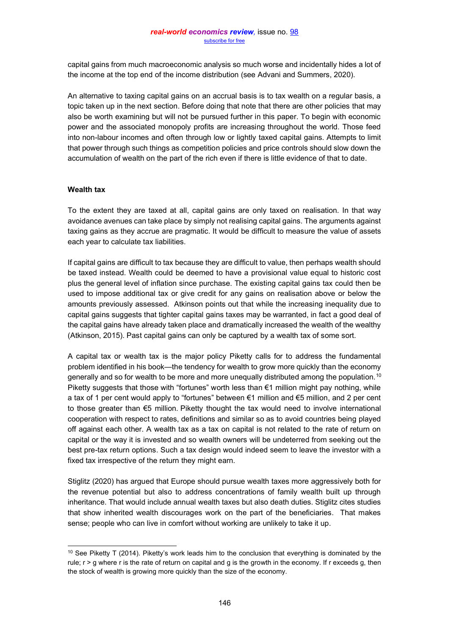capital gains from much macroeconomic analysis so much worse and incidentally hides a lot of the income at the top end of the income distribution (see Advani and Summers, 2020).

An alternative to taxing capital gains on an accrual basis is to tax wealth on a regular basis, a topic taken up in the next section. Before doing that note that there are other policies that may also be worth examining but will not be pursued further in this paper. To begin with economic power and the associated monopoly profits are increasing throughout the world. Those feed into non-labour incomes and often through low or lightly taxed capital gains. Attempts to limit that power through such things as competition policies and price controls should slow down the accumulation of wealth on the part of the rich even if there is little evidence of that to date.

## **Wealth tax**

To the extent they are taxed at all, capital gains are only taxed on realisation. In that way avoidance avenues can take place by simply not realising capital gains. The arguments against taxing gains as they accrue are pragmatic. It would be difficult to measure the value of assets each year to calculate tax liabilities.

If capital gains are difficult to tax because they are difficult to value, then perhaps wealth should be taxed instead. Wealth could be deemed to have a provisional value equal to historic cost plus the general level of inflation since purchase. The existing capital gains tax could then be used to impose additional tax or give credit for any gains on realisation above or below the amounts previously assessed. Atkinson points out that while the increasing inequality due to capital gains suggests that tighter capital gains taxes may be warranted, in fact a good deal of the capital gains have already taken place and dramatically increased the wealth of the wealthy (Atkinson, 2015). Past capital gains can only be captured by a wealth tax of some sort.

A capital tax or wealth tax is the major policy Piketty calls for to address the fundamental problem identified in his book—the tendency for wealth to grow more quickly than the economy generally and so for wealth to be more and more unequally distributed among the population.10 Piketty suggests that those with "fortunes" worth less than  $\epsilon$ 1 million might pay nothing, while a tax of 1 per cent would apply to "fortunes" between  $\epsilon$ 1 million and  $\epsilon$ 5 million, and 2 per cent to those greater than  $\epsilon$ 5 million. Piketty thought the tax would need to involve international cooperation with respect to rates, definitions and similar so as to avoid countries being played off against each other. A wealth tax as a tax on capital is not related to the rate of return on capital or the way it is invested and so wealth owners will be undeterred from seeking out the best pre-tax return options. Such a tax design would indeed seem to leave the investor with a fixed tax irrespective of the return they might earn.

Stiglitz (2020) has argued that Europe should pursue wealth taxes more aggressively both for the revenue potential but also to address concentrations of family wealth built up through inheritance. That would include annual wealth taxes but also death duties. Stiglitz cites studies that show inherited wealth discourages work on the part of the beneficiaries. That makes sense; people who can live in comfort without working are unlikely to take it up.

<sup>&</sup>lt;sup>10</sup> See Piketty T (2014). Piketty's work leads him to the conclusion that everything is dominated by the rule;  $r > q$  where r is the rate of return on capital and q is the growth in the economy. If r exceeds q, then the stock of wealth is growing more quickly than the size of the economy.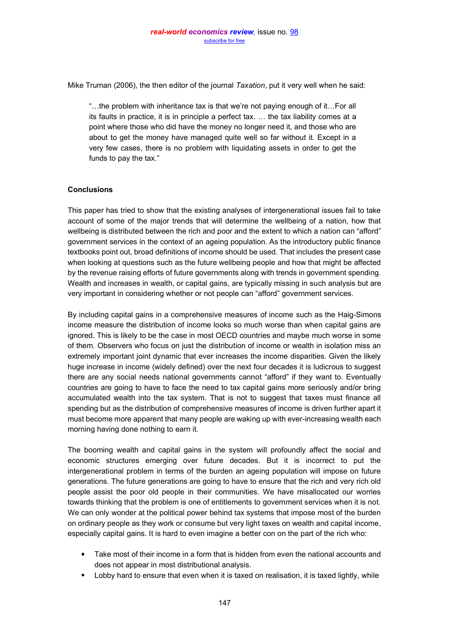Mike Truman (2006), the then editor of the journal *Taxation*, put it very well when he said:

"...the problem with inheritance tax is that we're not paying enough of it...For all its faults in practice, it is in principle a perfect tax,  $\dots$  the tax liability comes at a point where those who did have the money no longer need it, and those who are about to get the money have managed quite well so far without it. Except in a very few cases, there is no problem with liquidating assets in order to get the funds to pay the tax."

# **Conclusions**

This paper has tried to show that the existing analyses of intergenerational issues fail to take account of some of the major trends that will determine the wellbeing of a nation, how that wellbeing is distributed between the rich and poor and the extent to which a nation can "afford" government services in the context of an ageing population. As the introductory public finance textbooks point out, broad definitions of income should be used. That includes the present case when looking at questions such as the future wellbeing people and how that might be affected by the revenue raising efforts of future governments along with trends in government spending. Wealth and increases in wealth, or capital gains, are typically missing in such analysis but are very important in considering whether or not people can "afford" government services.

By including capital gains in a comprehensive measures of income such as the Haig-Simons income measure the distribution of income looks so much worse than when capital gains are ignored. This is likely to be the case in most OECD countries and maybe much worse in some of them. Observers who focus on just the distribution of income or wealth in isolation miss an extremely important joint dynamic that ever increases the income disparities. Given the likely huge increase in income (widely defined) over the next four decades it is ludicrous to suggest there are any social needs national governments cannot "afford" if they want to. Eventually countries are going to have to face the need to tax capital gains more seriously and/or bring accumulated wealth into the tax system. That is not to suggest that taxes must finance all spending but as the distribution of comprehensive measures of income is driven further apart it must become more apparent that many people are waking up with ever-increasing wealth each morning having done nothing to earn it.

The booming wealth and capital gains in the system will profoundly affect the social and economic structures emerging over future decades. But it is incorrect to put the intergenerational problem in terms of the burden an ageing population will impose on future generations. The future generations are going to have to ensure that the rich and very rich old people assist the poor old people in their communities. We have misallocated our worries towards thinking that the problem is one of entitlements to government services when it is not. We can only wonder at the political power behind tax systems that impose most of the burden on ordinary people as they work or consume but very light taxes on wealth and capital income, especially capital gains. It is hard to even imagine a better con on the part of the rich who:

- **Take most of their income in a form that is hidden from even the national accounts and** does not appear in most distributional analysis.
- Lobby hard to ensure that even when it is taxed on realisation, it is taxed lightly, while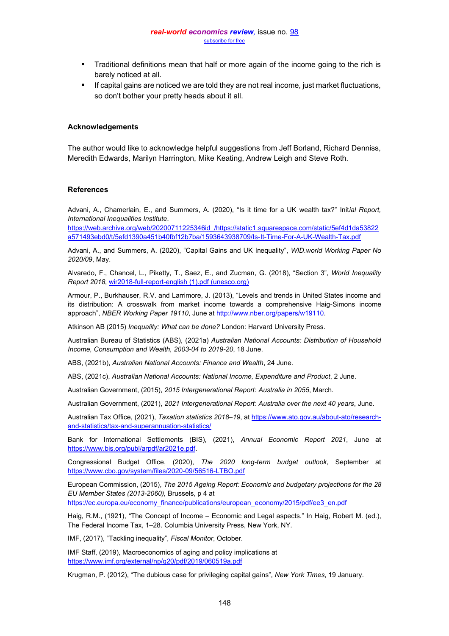- $\blacksquare$ Traditional definitions mean that half or more again of the income going to the rich is barely noticed at all.
- If capital gains are noticed we are told they are not real income, just market fluctuations, so don't bother your pretty heads about it all.

#### **Acknowledgements**

The author would like to acknowledge helpful suggestions from Jeff Borland, Richard Denniss, Meredith Edwards, Marilyn Harrington, Mike Keating, Andrew Leigh and Steve Roth.

#### **References**

Advani, A., Chamerlain, E., and Summers, A. (2020), "Is it time for a UK wealth tax?" Initial Report, *International Inequalities Institute*.

[https://web.archive.org/web/20200711225346id\\_/https://static1.squarespace.com/static/5ef4d1da53822](https://web.archive.org/web/20200711225346id_/https:/static1.squarespace.com/static/5ef4d1da53822a571493ebd0/t/5efd1390a451b40fbf12b7ba/1593643938709/Is-It-Time-For-A-UK-Wealth-Tax.pdf) [a571493ebd0/t/5efd1390a451b40fbf12b7ba/1593643938709/Is-It-Time-For-A-UK-Wealth-Tax.pdf](https://web.archive.org/web/20200711225346id_/https:/static1.squarespace.com/static/5ef4d1da53822a571493ebd0/t/5efd1390a451b40fbf12b7ba/1593643938709/Is-It-Time-For-A-UK-Wealth-Tax.pdf)

Advani, A., and Summers, A. (2020), "Capital Gains and UK Inequality", *WID.world Working Paper No 2020/09*, May.

Alvaredo, F., Chancel, L., Piketty, T., Saez, E., and Zucman, G. (2018), "Section 3", *World Inequality Report 2018*, [wir2018-full-report-english \(1\).pdf \(unesco.org\)](https://en.unesco.org/inclusivepolicylab/sites/default/files/publication/document/2018/7/wir2018-full-report-english.pdf)

Armour, P., Burkhauser, R.V. and Larrimore, J. (2013), "Levels and trends in United States income and its distribution: A crosswalk from market income towards a comprehensive Haig-Simons income approach", *NBER Working Paper 19110*, June at [http://www.nber.org/papers/w19110.](http://www.nber.org/papers/w19110)

Atkinson AB (2015) *Inequality: What can be done?* London: Harvard University Press.

Australian Bureau of Statistics (ABS), (2021a) *Australian National Accounts: Distribution of Household Income, Consumption and Wealth, 2003-04 to 2019-20*, 18 June.

ABS, (2021b), *Australian National Accounts: Finance and Wealth*, 24 June.

ABS, (2021c), *Australian National Accounts: National Income, Expenditure and Product*, 2 June.

Australian Government, (2015), *2015 Intergenerational Report: Australia in 2055*, March.

Australian Government, (2021), *2021 Intergenerational Report: Australia over the next 40 years*, June.

Australian Tax Office, (2021), *Taxation statistics 2018±19*, at [https://www.ato.gov.au/about-ato/research](https://www.ato.gov.au/about-ato/research-and-statistics/tax-and-superannuation-statistics/)[and-statistics/tax-and-superannuation-statistics/](https://www.ato.gov.au/about-ato/research-and-statistics/tax-and-superannuation-statistics/)

Bank for International Settlements (BIS), (2021), *Annual Economic Report 2021*, June at [https://www.bis.org/publ/arpdf/ar2021e.pdf.](https://www.bis.org/publ/arpdf/ar2021e.pdf)

Congressional Budget Office, (2020), *The 2020 long-term budget outlook*, September at <https://www.cbo.gov/system/files/2020-09/56516-LTBO.pdf>

European Commission, (2015), *The 2015 Ageing Report: Economic and budgetary projections for the 28 EU Member States (2013-2060),* Brussels, p 4 at

[https://ec.europa.eu/economy\\_finance/publications/european\\_economy/2015/pdf/ee3\\_en.pdf](https://ec.europa.eu/economy_finance/publications/european_economy/2015/pdf/ee3_en.pdf)

Haig, R.M., (1921), "The Concept of Income - Economic and Legal aspects." In Haig, Robert M. (ed.), The Federal Income Tax, 1-28. Columbia University Press, New York, NY.

IMF, (2017), "Tackling inequality", *Fiscal Monitor*, October.

IMF Staff, (2019), Macroeconomics of aging and policy implications at <https://www.imf.org/external/np/g20/pdf/2019/060519a.pdf>

Krugman, P. (2012), "The dubious case for privileging capital gains", *New York Times*, 19 January.